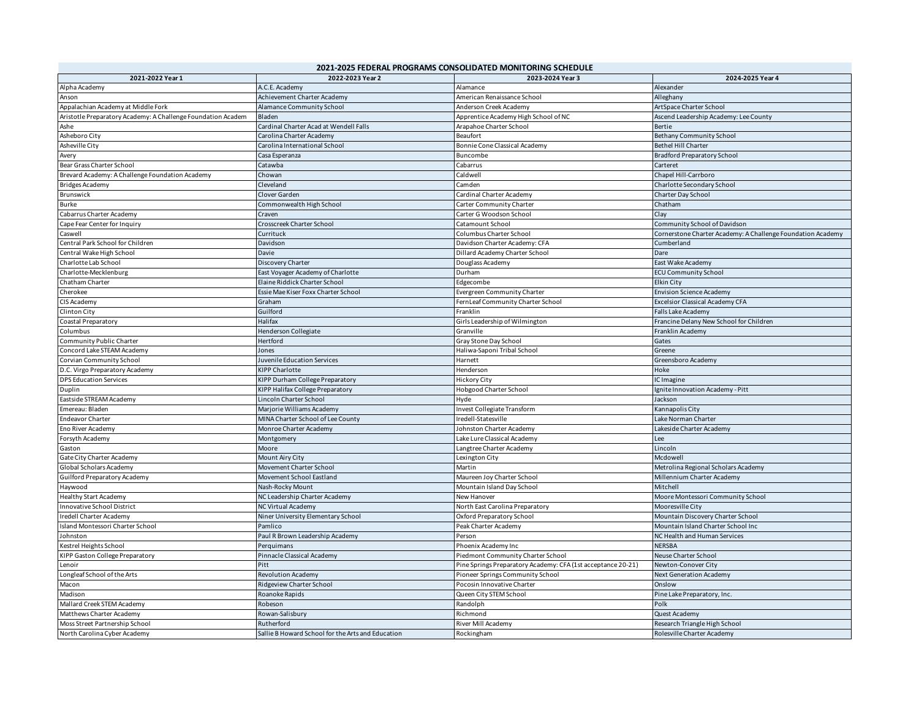| 2021-2022 Year 1                                             | 2022-2023 Year 2                                  | 2023-2024 Year 3                                             | 2024-2025 Year 4                                            |
|--------------------------------------------------------------|---------------------------------------------------|--------------------------------------------------------------|-------------------------------------------------------------|
| Alpha Academy                                                | A.C.E. Academy                                    | Alamance                                                     | Alexander                                                   |
| Anson                                                        | Achievement Charter Academy                       | American Renaissance School                                  | Alleghany                                                   |
| Appalachian Academy at Middle Fork                           | Alamance Community School                         | Anderson Creek Academy                                       | ArtSpace Charter School                                     |
| Aristotle Preparatory Academy: A Challenge Foundation Academ | Bladen                                            | Apprentice Academy High School of NC                         | Ascend Leadership Academy: Lee County                       |
| Ashe                                                         | Cardinal Charter Acad at Wendell Falls            | Arapahoe Charter School                                      | Bertie                                                      |
| Asheboro City                                                | Carolina Charter Academy                          | Beaufort                                                     | <b>Bethany Community School</b>                             |
| Asheville City                                               | Carolina International School                     | Bonnie Cone Classical Academy                                | <b>Bethel Hill Charter</b>                                  |
| Avery                                                        | Casa Esperanza                                    | Buncombe                                                     | <b>Bradford Preparatory School</b>                          |
| Bear Grass Charter School                                    | Catawba                                           | Cabarrus                                                     | Carteret                                                    |
| Brevard Academy: A Challenge Foundation Academy              | Chowan                                            | Caldwell                                                     | Chapel Hill-Carrboro                                        |
| <b>Bridges Academy</b>                                       | Cleveland                                         | Camden                                                       | Charlotte Secondary School                                  |
| Brunswick                                                    | Clover Garden                                     | Cardinal Charter Academy                                     | Charter Day School                                          |
| Burke                                                        | Commonwealth High School                          | Carter Community Charter                                     | Chatham                                                     |
| Cabarrus Charter Academy                                     | Craven                                            | Carter G Woodson School                                      | Clay                                                        |
| Cape Fear Center for Inquiry                                 | Crosscreek Charter School                         | Catamount School                                             | Community School of Davidson                                |
| Caswell                                                      | Currituck                                         | Columbus Charter School                                      | Cornerstone Charter Academy: A Challenge Foundation Academy |
| Central Park School for Children                             | Davidson                                          | Davidson Charter Academy: CFA                                | Cumberland                                                  |
| Central Wake High School                                     | Davie                                             | Dillard Academy Charter School                               | Dare                                                        |
| Charlotte Lab School                                         | Discovery Charter                                 | Douglass Academy                                             | East Wake Academy                                           |
| Charlotte-Mecklenburg                                        | East Voyager Academy of Charlotte                 | Durham                                                       | <b>ECU Community School</b>                                 |
| Chatham Charter                                              | Elaine Riddick Charter School                     | Edgecombe                                                    | Elkin City                                                  |
| Cherokee                                                     | Essie Mae Kiser Foxx Charter School               | Evergreen Community Charter                                  | <b>Envision Science Academy</b>                             |
|                                                              | Graham                                            |                                                              | Excelsior Classical Academy CFA                             |
| CIS Academy                                                  | Guilford                                          | FernLeaf Community Charter School<br>Franklin                | Falls Lake Academy                                          |
| Clinton City                                                 |                                                   |                                                              |                                                             |
| Coastal Preparatory                                          | Halifax                                           | Girls Leadership of Wilmington                               | Francine Delany New School for Children                     |
| Columbus                                                     | Henderson Collegiate                              | Granville                                                    | Franklin Academy                                            |
| Community Public Charter                                     | Hertford                                          | Gray Stone Day School                                        | Gates                                                       |
| Concord Lake STEAM Academy                                   | Jones                                             | Haliwa-Saponi Tribal School                                  | Greene                                                      |
| Corvian Community School                                     | Juvenile Education Services                       | Harnett                                                      | Greensboro Academy                                          |
| D.C. Virgo Preparatory Academy                               | <b>KIPP Charlotte</b>                             | Henderson                                                    | Hoke                                                        |
| <b>DPS Education Services</b>                                | KIPP Durham College Preparatory                   | <b>Hickory City</b>                                          | IC Imagine                                                  |
| Duplin                                                       | KIPP Halifax College Preparatory                  | <b>Hobgood Charter School</b>                                | gnite Innovation Academy - Pitt                             |
| Eastside STREAM Academy                                      | Lincoln Charter School                            | Hyde                                                         | Jackson                                                     |
| Emereau: Bladen                                              | Marjorie Williams Academy                         | Invest Collegiate Transform                                  | Kannapolis City                                             |
| <b>Endeavor Charter</b>                                      | MINA Charter School of Lee County                 | redell-Statesville                                           | Lake Norman Charter                                         |
| Eno River Academy                                            | Monroe Charter Academy                            | Johnston Charter Academy                                     | Lakeside Charter Academy                                    |
| Forsyth Academy                                              | Montgomery                                        | Lake Lure Classical Academy                                  | Lee                                                         |
| Gaston                                                       | Moore                                             | Langtree Charter Academy                                     | Lincoln                                                     |
| Gate City Charter Academy                                    | Mount Airy City                                   | Lexington City                                               | Mcdowell                                                    |
| Global Scholars Academy                                      | Movement Charter School                           | Martin                                                       | Metrolina Regional Scholars Academy                         |
| Guilford Preparatory Academy                                 | Movement School Eastland                          | Maureen Joy Charter School                                   | Millennium Charter Academy                                  |
| Haywood                                                      | Nash-Rocky Mount                                  | Mountain Island Day School                                   | Mitchell                                                    |
| <b>Healthy Start Academy</b>                                 | NC Leadership Charter Academy                     | New Hanover                                                  | Moore Montessori Community School                           |
| <b>Innovative School District</b>                            | <b>NC Virtual Academy</b>                         | North East Carolina Preparatory                              | Mooresville City                                            |
| Iredell Charter Academy                                      | Niner University Elementary School                | Oxford Preparatory School                                    | Mountain Discovery Charter School                           |
| Island Montessori Charter School                             | Pamlico                                           | Peak Charter Academy                                         | Mountain Island Charter School Inc                          |
| Johnston                                                     | Paul R Brown Leadership Academy                   | Person                                                       | NC Health and Human Services                                |
| Gestrel Heights School                                       | Perquimans                                        | Phoenix Academy Inc                                          | <b>NERSBA</b>                                               |
| KIPP Gaston College Preparatory                              | Pinnacle Classical Academy                        | Piedmont Community Charter School                            | Neuse Charter School                                        |
| .enoir                                                       | Pitt                                              | Pine Springs Preparatory Academy: CFA (1st acceptance 20-21) | Newton-Conover City                                         |
| Longleaf School of the Arts                                  | <b>Revolution Academy</b>                         | Pioneer Springs Community School                             | <b>Next Generation Academy</b>                              |
| Macon                                                        | Ridgeview Charter School                          | Pocosin Innovative Charter                                   | Onslow                                                      |
| Madison                                                      | Roanoke Rapids                                    | Queen City STEM School                                       | Pine Lake Preparatory, Inc.                                 |
| Mallard Creek STEM Academy                                   | Robeson                                           | Randolph                                                     | Polk                                                        |
| Matthews Charter Academy                                     | Rowan-Salisbury                                   | Richmond                                                     | Quest Academy                                               |
| Moss Street Partnership School                               | Rutherford                                        | River Mill Academy                                           | Research Triangle High School                               |
| North Carolina Cyber Academy                                 | Sallie B Howard School for the Arts and Education | Rockingham                                                   | Rolesville Charter Academy                                  |
|                                                              |                                                   |                                                              |                                                             |